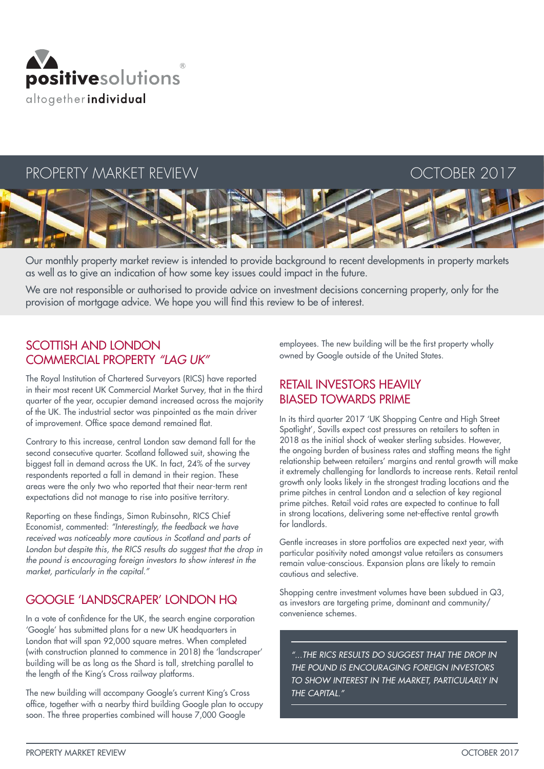

# PROPERTY MARKET REVIEW THE SERVE OCTOBER 2017



Our monthly property market review is intended to provide background to recent developments in property markets as well as to give an indication of how some key issues could impact in the future.

We are not responsible or authorised to provide advice on investment decisions concerning property, only for the provision of mortgage advice. We hope you will find this review to be of interest.

## SCOTTISH AND LONDON COMMERCIAL PROPERTY *"LAG UK"*

The Royal Institution of Chartered Surveyors (RICS) have reported in their most recent UK Commercial Market Survey, that in the third quarter of the year, occupier demand increased across the majority of the UK. The industrial sector was pinpointed as the main driver of improvement. Office space demand remained flat.

Contrary to this increase, central London saw demand fall for the second consecutive quarter. Scotland followed suit, showing the biggest fall in demand across the UK. In fact, 24% of the survey respondents reported a fall in demand in their region. These areas were the only two who reported that their near-term rent expectations did not manage to rise into positive territory.

Reporting on these findings, Simon Rubinsohn, RICS Chief Economist, commented: *"Interestingly, the feedback we have received was noticeably more cautious in Scotland and parts of*  London but despite this, the RICS results do suggest that the drop in *the pound is encouraging foreign investors to show interest in the market, particularly in the capital."*

## GOOGLE 'LANDSCRAPER' LONDON HQ

In a vote of confidence for the UK, the search engine corporation 'Google' has submitted plans for a new UK headquarters in London that will span 92,000 square metres. When completed (with construction planned to commence in 2018) the 'landscraper' building will be as long as the Shard is tall, stretching parallel to the length of the King's Cross railway platforms.

The new building will accompany Google's current King's Cross office, together with a nearby third building Google plan to occupy soon. The three properties combined will house 7,000 Google

employees. The new building will be the first property wholly owned by Google outside of the United States.

## RETAIL INVESTORS HEAVILY BIASED TOWARDS PRIME

In its third quarter 2017 'UK Shopping Centre and High Street Spotlight', Savills expect cost pressures on retailers to soften in 2018 as the initial shock of weaker sterling subsides. However, the ongoing burden of business rates and staffing means the tight relationship between retailers' margins and rental growth will make it extremely challenging for landlords to increase rents. Retail rental growth only looks likely in the strongest trading locations and the prime pitches in central London and a selection of key regional prime pitches. Retail void rates are expected to continue to fall in strong locations, delivering some net-effective rental growth for landlords.

Gentle increases in store portfolios are expected next year, with particular positivity noted amongst value retailers as consumers remain value-conscious. Expansion plans are likely to remain cautious and selective.

Shopping centre investment volumes have been subdued in Q3, as investors are targeting prime, dominant and community/ convenience schemes.

*"...THE RICS RESULTS DO SUGGEST THAT THE DROP IN THE POUND IS ENCOURAGING FOREIGN INVESTORS TO SHOW INTEREST IN THE MARKET, PARTICULARLY IN THE CAPITAL."*